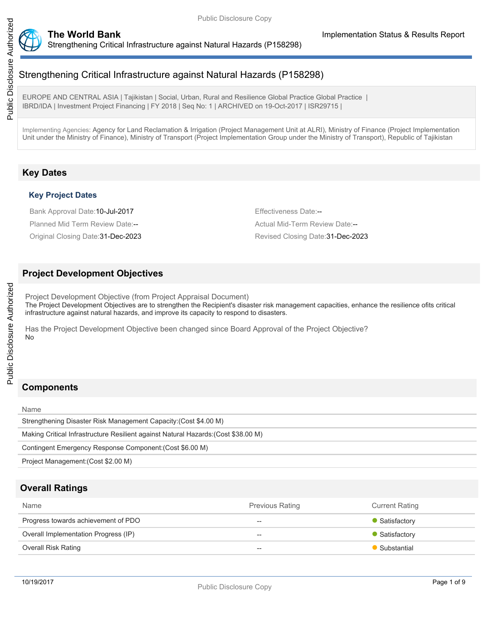

EUROPE AND CENTRAL ASIA | Tajikistan | Social, Urban, Rural and Resilience Global Practice Global Practice | IBRD/IDA | Investment Project Financing | FY 2018 | Seq No: 1 | ARCHIVED on 19-Oct-2017 | ISR29715 |

Implementing Agencies: Agency for Land Reclamation & Irrigation (Project Management Unit at ALRI), Ministry of Finance (Project Implementation Unit under the Ministry of Finance), Ministry of Transport (Project Implementation Group under the Ministry of Transport), Republic of Tajikistan

# **Key Dates**

## **Key Project Dates**

Bank Approval Date: 10-Jul-2017 **Effectiveness Date:** Effectiveness Date: --Planned Mid Term Review Date:-- Actual Mid-Term Review Date:--

Original Closing Date:31-Dec-2023 Revised Closing Date:31-Dec-2023

# **Project Development Objectives**

Project Development Objective (from Project Appraisal Document) The Project Development Objectives are to strengthen the Recipient's disaster risk management capacities, enhance the resilience ofits critical infrastructure against natural hazards, and improve its capacity to respond to disasters.

Has the Project Development Objective been changed since Board Approval of the Project Objective? No

# **Components**

Name

Strengthening Disaster Risk Management Capacity:(Cost \$4.00 M) Making Critical Infrastructure Resilient against Natural Hazards:(Cost \$38.00 M) Contingent Emergency Response Component:(Cost \$6.00 M) Project Management:(Cost \$2.00 M)

# **Overall Ratings**

| Name                                 | <b>Previous Rating</b> | <b>Current Rating</b> |
|--------------------------------------|------------------------|-----------------------|
| Progress towards achievement of PDO  | $- -$                  | • Satisfactory        |
| Overall Implementation Progress (IP) | $- -$                  | • Satisfactory        |
| <b>Overall Risk Rating</b>           | $-$                    | • Substantial         |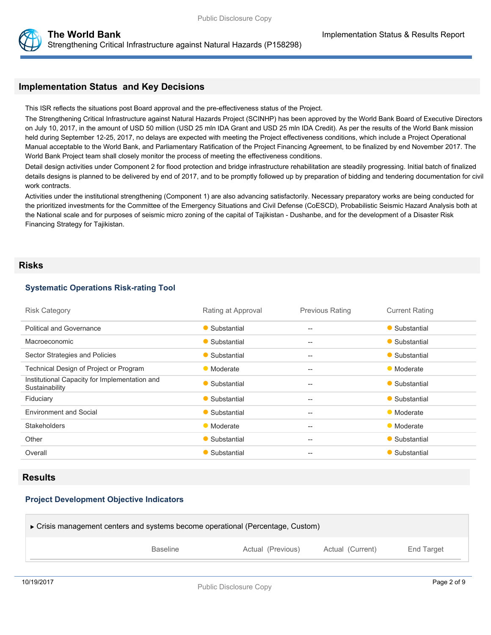

# **Implementation Status and Key Decisions**

This ISR reflects the situations post Board approval and the pre-effectiveness status of the Project.

The Strengthening Critical Infrastructure against Natural Hazards Project (SCINHP) has been approved by the World Bank Board of Executive Directors on July 10, 2017, in the amount of USD 50 million (USD 25 mln IDA Grant and USD 25 mln IDA Credit). As per the results of the World Bank mission held during September 12-25, 2017, no delays are expected with meeting the Project effectiveness conditions, which include a Project Operational Manual acceptable to the World Bank, and Parliamentary Ratification of the Project Financing Agreement, to be finalized by end November 2017. The World Bank Project team shall closely monitor the process of meeting the effectiveness conditions.

Detail design activities under Component 2 for flood protection and bridge infrastructure rehabilitation are steadily progressing. Initial batch of finalized details designs is planned to be delivered by end of 2017, and to be promptly followed up by preparation of bidding and tendering documentation for civil work contracts.

Activities under the institutional strengthening (Component 1) are also advancing satisfactorily. Necessary preparatory works are being conducted for the prioritized investments for the Committee of the Emergency Situations and Civil Defense (CoESCD), Probabilistic Seismic Hazard Analysis both at the National scale and for purposes of seismic micro zoning of the capital of Tajikistan - Dushanbe, and for the development of a Disaster Risk Financing Strategy for Tajikistan.

#### **Risks**

#### **Systematic Operations Risk-rating Tool**

| <b>Risk Category</b>                                            | Rating at Approval | <b>Previous Rating</b>                              | <b>Current Rating</b> |
|-----------------------------------------------------------------|--------------------|-----------------------------------------------------|-----------------------|
| <b>Political and Governance</b>                                 | • Substantial      | --                                                  | • Substantial         |
| Macroeconomic                                                   | • Substantial      | $- -$                                               | • Substantial         |
| Sector Strategies and Policies                                  | • Substantial      | $- -$                                               | • Substantial         |
| Technical Design of Project or Program                          | • Moderate         | $\hspace{0.05cm} -\hspace{0.05cm} -\hspace{0.05cm}$ | • Moderate            |
| Institutional Capacity for Implementation and<br>Sustainability | • Substantial      | $- -$                                               | • Substantial         |
| Fiduciary                                                       | • Substantial      | $- -$                                               | • Substantial         |
| <b>Environment and Social</b>                                   | • Substantial      | $\hspace{0.05cm} -\hspace{0.05cm} -\hspace{0.05cm}$ | • Moderate            |
| <b>Stakeholders</b>                                             | • Moderate         | --                                                  | • Moderate            |
| Other                                                           | • Substantial      | $\qquad \qquad -$                                   | • Substantial         |
| Overall                                                         | • Substantial      | $- -$                                               | • Substantial         |

## **Results**

### **Project Development Objective Indicators**

| ► Crisis management centers and systems become operational (Percentage, Custom) |                 |                   |                  |            |
|---------------------------------------------------------------------------------|-----------------|-------------------|------------------|------------|
|                                                                                 | <b>Baseline</b> | Actual (Previous) | Actual (Current) | End Target |
|                                                                                 |                 |                   |                  |            |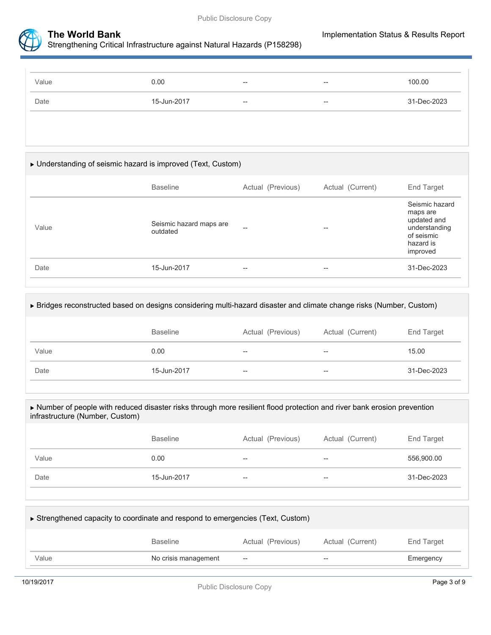



| Value | 0.00        | $-$ | $- -$                    | 100.00      |
|-------|-------------|-----|--------------------------|-------------|
| Date  | 15-Jun-2017 | $-$ | $\overline{\phantom{a}}$ | 31-Dec-2023 |

# Understanding of seismic hazard is improved (Text, Custom)

|       | <b>Baseline</b>                     | Actual (Previous) | Actual (Current) | End Target                                                                                        |
|-------|-------------------------------------|-------------------|------------------|---------------------------------------------------------------------------------------------------|
| Value | Seismic hazard maps are<br>outdated | --                | --               | Seismic hazard<br>maps are<br>updated and<br>understanding<br>of seismic<br>hazard is<br>improved |
| Date  | 15-Jun-2017                         | $- -$             | --               | 31-Dec-2023                                                                                       |
|       |                                     |                   |                  |                                                                                                   |

#### Bridges reconstructed based on designs considering multi-hazard disaster and climate change risks (Number, Custom)

|       | <b>Baseline</b> | Actual (Previous) | Actual (Current)  | End Target  |
|-------|-----------------|-------------------|-------------------|-------------|
| Value | 0.00            | $- -$             | $\hspace{0.05cm}$ | 15.00       |
| Date  | 15-Jun-2017     | $- -$             | $- -$             | 31-Dec-2023 |

#### Number of people with reduced disaster risks through more resilient flood protection and river bank erosion prevention infrastructure (Number, Custom)

|       | Baseline    | Actual (Previous)        | Actual (Current) | End Target  |
|-------|-------------|--------------------------|------------------|-------------|
| Value | 0.00        | $- -$                    | $-$              | 556,900.00  |
| Date  | 15-Jun-2017 | $\overline{\phantom{m}}$ | $-$              | 31-Dec-2023 |

| ► Strengthened capacity to coordinate and respond to emergencies (Text, Custom) |                      |                   |                  |            |  |
|---------------------------------------------------------------------------------|----------------------|-------------------|------------------|------------|--|
|                                                                                 | <b>Baseline</b>      | Actual (Previous) | Actual (Current) | End Target |  |
| Value                                                                           | No crisis management | $-$               | --               | Emergency  |  |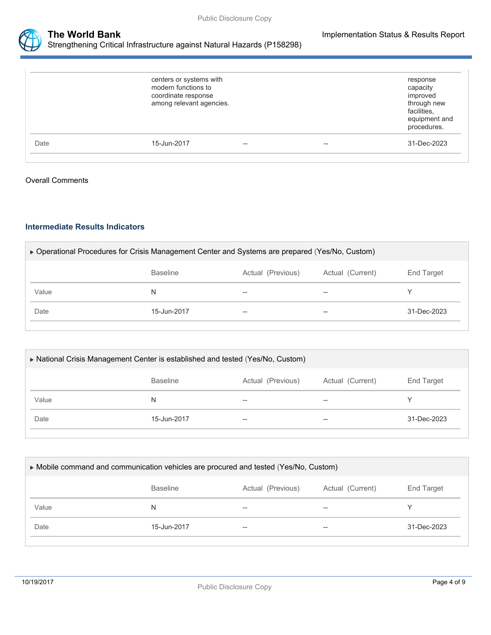

|      | centers or systems with<br>modern functions to<br>coordinate response<br>among relevant agencies. |     |    | response<br>capacity<br>improved<br>through new<br>facilities.<br>equipment and<br>procedures. |
|------|---------------------------------------------------------------------------------------------------|-----|----|------------------------------------------------------------------------------------------------|
| Date | 15-Jun-2017                                                                                       | $-$ | -- | 31-Dec-2023                                                                                    |

### Overall Comments

## **Intermediate Results Indicators**

| ▶ Operational Procedures for Crisis Management Center and Systems are prepared (Yes/No, Custom) |       |    |             |  |  |  |
|-------------------------------------------------------------------------------------------------|-------|----|-------------|--|--|--|
| Actual (Previous)<br>Actual (Current)<br><b>Baseline</b><br>End Target                          |       |    |             |  |  |  |
| N                                                                                               | $-$   | -- |             |  |  |  |
| 15-Jun-2017                                                                                     | $- -$ | -- | 31-Dec-2023 |  |  |  |
|                                                                                                 |       |    |             |  |  |  |

| ▶ National Crisis Management Center is established and tested (Yes/No, Custom) |                 |                   |                  |             |  |
|--------------------------------------------------------------------------------|-----------------|-------------------|------------------|-------------|--|
|                                                                                | <b>Baseline</b> | Actual (Previous) | Actual (Current) | End Target  |  |
| Value                                                                          | N               | --                | --               |             |  |
| Date                                                                           | 15-Jun-2017     | $- -$             | --               | 31-Dec-2023 |  |
|                                                                                |                 |                   |                  |             |  |

| ► Mobile command and communication vehicles are procured and tested (Yes/No, Custom) |             |       |       |             |  |
|--------------------------------------------------------------------------------------|-------------|-------|-------|-------------|--|
| <b>Baseline</b><br>Actual (Previous)<br>Actual (Current)<br>End Target               |             |       |       |             |  |
| Value                                                                                | N           | $- -$ | $- -$ |             |  |
| Date                                                                                 | 15-Jun-2017 | $- -$ | --    | 31-Dec-2023 |  |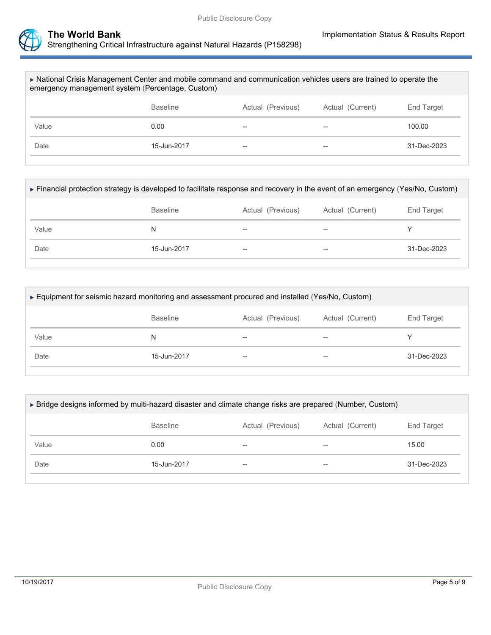

| In National Crisis Management Center and mobile command and communication vehicles users are trained to operate the<br>emergency management system (Percentage, Custom) |                 |                   |                  |             |  |
|-------------------------------------------------------------------------------------------------------------------------------------------------------------------------|-----------------|-------------------|------------------|-------------|--|
|                                                                                                                                                                         | <b>Baseline</b> | Actual (Previous) | Actual (Current) | End Target  |  |
| Value                                                                                                                                                                   | 0.00            | --                | --               | 100.00      |  |
| Date                                                                                                                                                                    | 15-Jun-2017     | --                | $- -$            | 31-Dec-2023 |  |
|                                                                                                                                                                         |                 |                   |                  |             |  |

| Financial protection strategy is developed to facilitate response and recovery in the event of an emergency (Yes/No, Custom) |                 |                   |                  |             |
|------------------------------------------------------------------------------------------------------------------------------|-----------------|-------------------|------------------|-------------|
|                                                                                                                              | <b>Baseline</b> | Actual (Previous) | Actual (Current) | End Target  |
| Value                                                                                                                        | N               | --                | $- -$            |             |
| Date                                                                                                                         | 15-Jun-2017     | --                | $- -$            | 31-Dec-2023 |
|                                                                                                                              |                 |                   |                  |             |

| ► Equipment for seismic hazard monitoring and assessment procured and installed (Yes/No, Custom) |             |       |       |             |  |
|--------------------------------------------------------------------------------------------------|-------------|-------|-------|-------------|--|
| <b>Baseline</b><br>Actual (Previous)<br>Actual (Current)<br>End Target                           |             |       |       |             |  |
| Value                                                                                            | N           | --    | $-$   |             |  |
| Date                                                                                             | 15-Jun-2017 | $- -$ | $- -$ | 31-Dec-2023 |  |
|                                                                                                  |             |       |       |             |  |

| ► Bridge designs informed by multi-hazard disaster and climate change risks are prepared (Number, Custom) |             |                   |    |             |
|-----------------------------------------------------------------------------------------------------------|-------------|-------------------|----|-------------|
| <b>Baseline</b><br>Actual (Previous)<br>Actual (Current)<br>End Target                                    |             |                   |    |             |
| Value                                                                                                     | 0.00        | --                | -- | 15.00       |
| Date                                                                                                      | 15-Jun-2017 | $\hspace{0.05cm}$ | -- | 31-Dec-2023 |
|                                                                                                           |             |                   |    |             |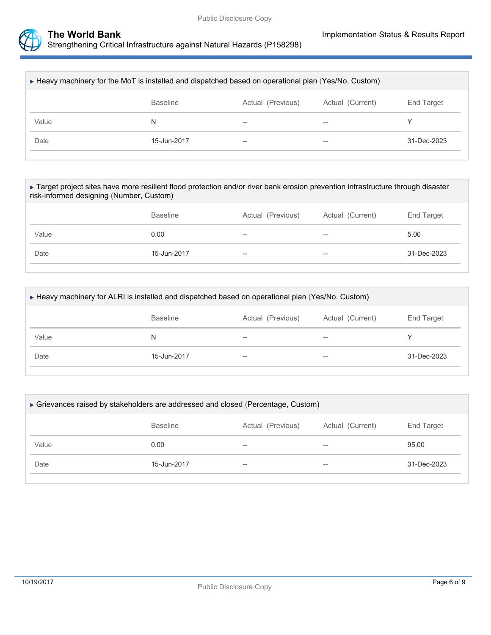

| ► Heavy machinery for the MoT is installed and dispatched based on operational plan (Yes/No, Custom) |                   |                  |             |  |
|------------------------------------------------------------------------------------------------------|-------------------|------------------|-------------|--|
| <b>Baseline</b>                                                                                      | Actual (Previous) | Actual (Current) | End Target  |  |
| N                                                                                                    | --                | $-$              |             |  |
| 15-Jun-2017                                                                                          | $- -$             | $- -$            | 31-Dec-2023 |  |
|                                                                                                      |                   |                  |             |  |

▶ Target project sites have more resilient flood protection and/or river bank erosion prevention infrastructure through disaster risk-informed designing (Number, Custom)

|       | <b>Baseline</b> | Actual (Previous) | Actual (Current) | End Target  |
|-------|-----------------|-------------------|------------------|-------------|
| Value | 0.00            | $- -$             | $-$              | 5.00        |
| Date  | 15-Jun-2017     | $- -$             | $- -$            | 31-Dec-2023 |

| ► Heavy machinery for ALRI is installed and dispatched based on operational plan (Yes/No, Custom) |             |       |     |             |  |
|---------------------------------------------------------------------------------------------------|-------------|-------|-----|-------------|--|
| Actual (Current)<br>End Target<br><b>Baseline</b><br>Actual (Previous)                            |             |       |     |             |  |
| Value                                                                                             | N           | $- -$ | $-$ |             |  |
| Date                                                                                              | 15-Jun-2017 | $- -$ | $-$ | 31-Dec-2023 |  |
|                                                                                                   |             |       |     |             |  |

| ► Grievances raised by stakeholders are addressed and closed (Percentage, Custom) |                 |                   |                  |                   |
|-----------------------------------------------------------------------------------|-----------------|-------------------|------------------|-------------------|
|                                                                                   | <b>Baseline</b> | Actual (Previous) | Actual (Current) | <b>End Target</b> |
| Value                                                                             | 0.00            | --                | $-$              | 95.00             |
| Date                                                                              | 15-Jun-2017     | $- -$             | $- -$            | 31-Dec-2023       |
|                                                                                   |                 |                   |                  |                   |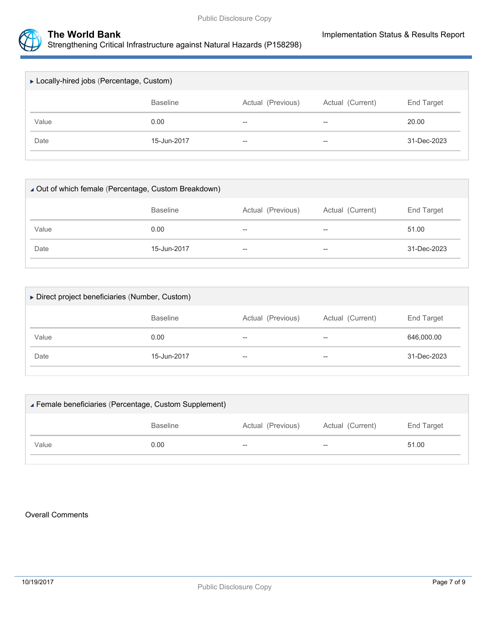

| ► Locally-hired jobs (Percentage, Custom) |                 |                          |                  |             |
|-------------------------------------------|-----------------|--------------------------|------------------|-------------|
|                                           | <b>Baseline</b> | Actual (Previous)        | Actual (Current) | End Target  |
| Value                                     | 0.00            | $\overline{\phantom{m}}$ | $-$              | 20.00       |
| Date                                      | 15-Jun-2017     | $- -$                    | $-$              | 31-Dec-2023 |
|                                           |                 |                          |                  |             |

| ▲ Out of which female (Percentage, Custom Breakdown) |                 |                   |                  |             |  |
|------------------------------------------------------|-----------------|-------------------|------------------|-------------|--|
|                                                      | <b>Baseline</b> | Actual (Previous) | Actual (Current) | End Target  |  |
| Value                                                | 0.00            | $- -$             | $-$              | 51.00       |  |
| Date                                                 | 15-Jun-2017     | $- -$             | $-$              | 31-Dec-2023 |  |
|                                                      |                 |                   |                  |             |  |

| ▶ Direct project beneficiaries (Number, Custom) |                   |                          |                   |  |  |
|-------------------------------------------------|-------------------|--------------------------|-------------------|--|--|
| <b>Baseline</b>                                 | Actual (Previous) | Actual (Current)         | <b>End Target</b> |  |  |
| 0.00                                            | $- -$             | $\overline{\phantom{m}}$ | 646,000.00        |  |  |
| 15-Jun-2017                                     | $- -$             | $-$                      | 31-Dec-2023       |  |  |
|                                                 |                   |                          |                   |  |  |

| Female beneficiaries (Percentage, Custom Supplement) |                 |                          |                  |            |
|------------------------------------------------------|-----------------|--------------------------|------------------|------------|
|                                                      | <b>Baseline</b> | Actual (Previous)        | Actual (Current) | End Target |
| Value                                                | 0.00            | $\overline{\phantom{m}}$ | $-$              | 51.00      |
|                                                      |                 |                          |                  |            |

#### Overall Comments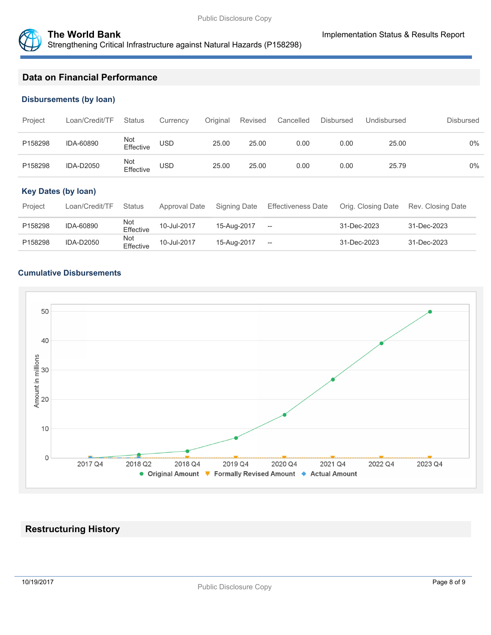



# **Data on Financial Performance**

#### **Disbursements (by loan)**

| Project | Loan/Credit/TF   | <b>Status</b>    | Currency   | Original | Revised | Cancelled | <b>Disbursed</b> | Undisbursed | Disbursed |
|---------|------------------|------------------|------------|----------|---------|-----------|------------------|-------------|-----------|
| P158298 | IDA-60890        | Not<br>Effective | <b>USD</b> | 25.00    | 25.00   | 0.00      | 0.00             | 25.00       | $0\%$     |
| P158298 | <b>IDA-D2050</b> | Not<br>Effective | USD        | 25.00    | 25.00   | 0.00      | 0.00             | 25.79       | $0\%$     |

## **Key Dates (by loan)**

| Project | Loan/Credit/TF   | <b>Status</b>    | Approval Date | Signing Date | Effectiveness Date                             | Orig. Closing Date | Rev. Closing Date |
|---------|------------------|------------------|---------------|--------------|------------------------------------------------|--------------------|-------------------|
| P158298 | IDA-60890        | Not<br>Effective | 10-Jul-2017   | 15-Aug-2017  | $\hspace{0.1mm}-\hspace{0.1mm}-\hspace{0.1mm}$ | 31-Dec-2023        | 31-Dec-2023       |
| P158298 | <b>IDA-D2050</b> | Not<br>Effective | 10-Jul-2017   | 15-Aug-2017  | $\hspace{0.1mm}-\hspace{0.1mm}-\hspace{0.1mm}$ | 31-Dec-2023        | 31-Dec-2023       |

#### **Cumulative Disbursements**



# **Restructuring History**